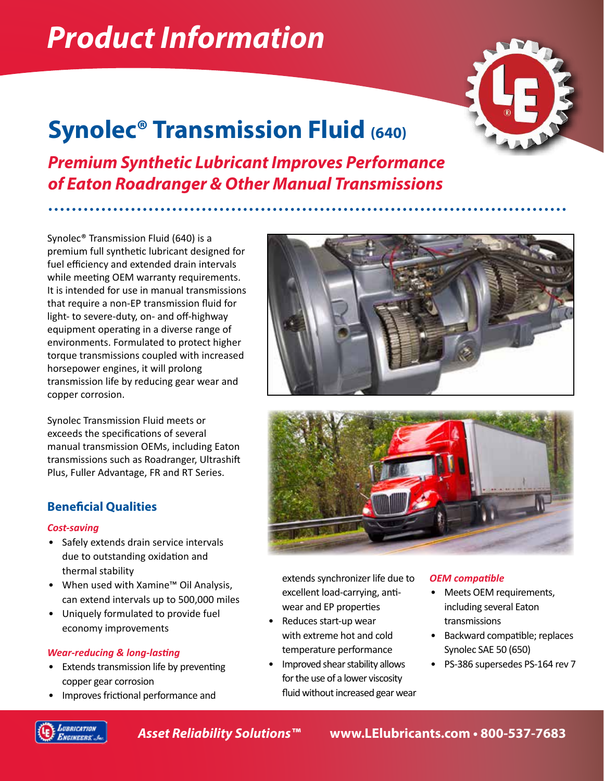# *Product Information*

## **Synolec® Transmission Fluid (640)**



*Premium Synthetic Lubricant Improves Performance of Eaton Roadranger & Other Manual Transmissions*

Synolec® Transmission Fluid (640) is a premium full synthetic lubricant designed for fuel efficiency and extended drain intervals while meeting OEM warranty requirements. It is intended for use in manual transmissions that require a non-EP transmission fluid for light- to severe-duty, on- and off-highway equipment operating in a diverse range of environments. Formulated to protect higher torque transmissions coupled with increased horsepower engines, it will prolong transmission life by reducing gear wear and copper corrosion.

Synolec Transmission Fluid meets or exceeds the specifications of several manual transmission OEMs, including Eaton transmissions such as Roadranger, Ultrashift Plus, Fuller Advantage, FR and RT Series.

### **Beneficial Qualities**

#### *Cost-saving*

- Safely extends drain service intervals due to outstanding oxidation and thermal stability
- When used with Xamine™ Oil Analysis, can extend intervals up to 500,000 miles
- Uniquely formulated to provide fuel economy improvements

### *Wear-reducing & long-lasting*

- Extends transmission life by preventing copper gear corrosion
- Improves frictional performance and





extends synchronizer life due to excellent load-carrying, antiwear and EP properties

- Reduces start-up wear with extreme hot and cold temperature performance
- Improved shear stability allows for the use of a lower viscosity fluid without increased gear wear

### *OEM compatible*

- Meets OEM requirements, including several Eaton transmissions
- Backward compatible; replaces Synolec SAE 50 (650)
- PS-386 supersedes PS-164 rev 7



*Asset Reliability Solutions™* **www.LElubricants.com • 800-537-7683**